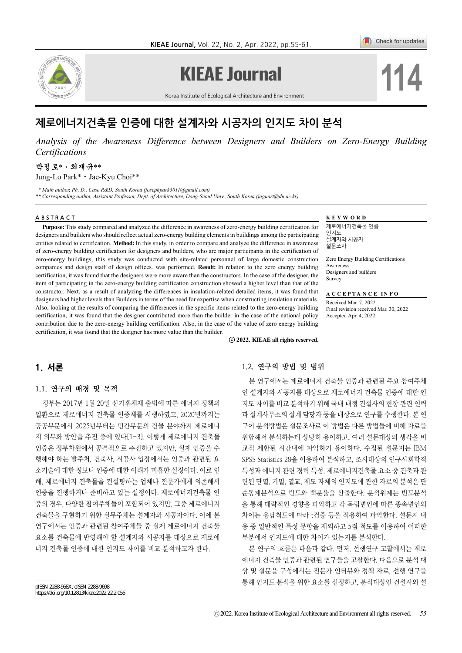

# **KIEAE Journal**

Check for updates

**114**

Korea Institute of Ecological Architecture and Environment

# 제로에너지건축물 인증에 대한 설계자와 시공자의 인지도 차이 분석

*Analysis of the Awareness Difference between Designers and Builders on Zero-Energy Building Certifications*

#### 박정로\*⋅최재규\*\* Jung-Lo Park<sup>\*</sup> · Jae-Kyu Choi<sup>\*\*</sup>

 *\* Main author, Ph. D., Case R&D, South Korea (josephpark3011@gmail.com)*

*\*\* Corresponding author, Assistant Professor, Dept. of Architecture, Dong-Seoul Univ., South Korea (jaguart@du.ac.kr)*

#### ABSTRACT **KEYWORD**

**Purpose:** This study compared and analyzed the difference in awareness of zero-energy building certification for designers and builders who should reflect actual zero-energy building elements in buildings among the participating entities related to certification. **Method:** In this study, in order to compare and analyze the difference in awareness of zero-energy building certification for designers and builders, who are major participants in the certification of zero-energy buildings, this study was conducted with site-related personnel of large domestic construction companies and design staff of design offices. was performed. **Result:** In relation to the zero energy building certification, it was found that the designers were more aware than the constructors. In the case of the designer, the item of participating in the zero-energy building certification construction showed a higher level than that of the constructor. Next, as a result of analyzing the differences in insulation-related detailed items, it was found that designers had higher levels than Builders in terms of the need for expertise when constructing insulation materials. Also, looking at the results of comparing the differences in the specific items related to the zero-energy building certification, it was found that the designer contributed more than the builder in the case of the national policy contribution due to the zero-energy building certification. Also, in the case of the value of zero energy building certification, it was found that the designer has more value than the builder.

제로에너지건축물 인증 인지도 설계자와 시공자 설문조사

Zero Energy Building Certifications **Awareness** Designers and builders **Survey** 

**A C C E P T A N C E I N F O** 

Received Mar. 7, 2022 Final revision received Mar. 30, 2022 Accepted Apr. 4, 2022

ⓒ **2022. KIEAE all rights reserved.**

# 1. 서론

#### 1.1. 연구의 배경 및 목적

정부는 2017년 1월 20일 신기후체제 출범에 따른 에너지 정책의 일환으로 제로에너지 건축물 인증제를 시행하였고, 2020년까지는 공공부문에서 2025년부터는 민간부문의 건물 분야까지 제로에너 지 의무화 방안을 추진 중에 있다[1-3]. 이렇게 제로에너지 건축물 인증은 정부차원에서 공격적으로 추진하고 있지만, 실제 인증을 수 행해야 하는 발주처, 건축사, 시공사 입장에서는 인증과 관련된 요 소기술에 대한 정보나 인증에 대한 이해가 미흡한 실정이다. 이로 인 해, 제로에너지 건축물을 컨설팅하는 업체나 전문가에게 의존해서 인증을 진행하거나 준비하고 있는 실정이다. 제로에너지건축물 인 증의 경우, 다양한 참여주체들이 포함되어 있지만, 그중 제로에너지 건축물을 구현하기 위한 실무주체는 설계자와 시공자이다. 이에 본 연구에서는 인증과 관련된 참여주체들 중 실제 제로에너지 건축물 요소를 건축물에 반영해야 할 설계자와 시공자를 대상으로 제로에 너지 건축물 인증에 대한 인지도 차이를 비교 분석하고자 한다.

1.2. 연구의 방법 및 범위

본 연구에서는 제로에너지 건축물 인증과 관련된 주요 참여주체 인 설계자와 시공자를 대상으로 제로에너지 건축물 인증에 대한 인 지도 차이를 비교 분석하기 위해 국내 대형 건설사의 현장 관련 인력 과 설계사무소의 설계 담당자 등을 대상으로 연구를 수행한다. 본 연 구이 분석방법은 설문조사로 이 방법은 다른 방법들에 비해 자료를 취합해서 분석하는데 상당히 용이하고, 여러 설문대상의 생각을 비 교적 제한된 시간내에 파악하기 용이하다. 수집된 설문지는 IBM SPSS Statistics 28을 이용하여 분석하고, 조사대상의 인구사회학적 특성과 에너지 관련 경력 특성, 제로에너지건축물 요소 중 건축과 관 련된 단열, 기밀, 열교, 제도 자체의 인지도에 관한 자료의 분석은 단 순통계분석으로 빈도와 백분율을 산출한다. 분석위계는 빈도분석 을 통해 대략적인 경향을 파악하고 각 독립변인에 따른 종속변인의 차이는 응답척도에 따라 t검증 등을 적용하여 파악한다. 설문지 내 용 중 일반적인 특성 문항을 제외하고 5점 척도를 이용하여 어떠한 부분에서 인지도에 대한 차이가 있는지를 분석한다.

본 연구의 흐름은 다음과 같다. 먼저, 선행연구 고찰에서는 제로 에너지 건축물 인증과 관련된 연구들을 고찰한다. 다음으로 분석 대 상 및 설문을 구성에서는 전문가 인터뷰와 정책 자료, 선행 연구를 통해 인지도 분석을 위한 요소를 선정하고, 분석대상인 건설사와 설

pISSN 2288‐968X, eISSN 2288‐9698 https://doi.org/10.12813/kieae.2022.22.2.055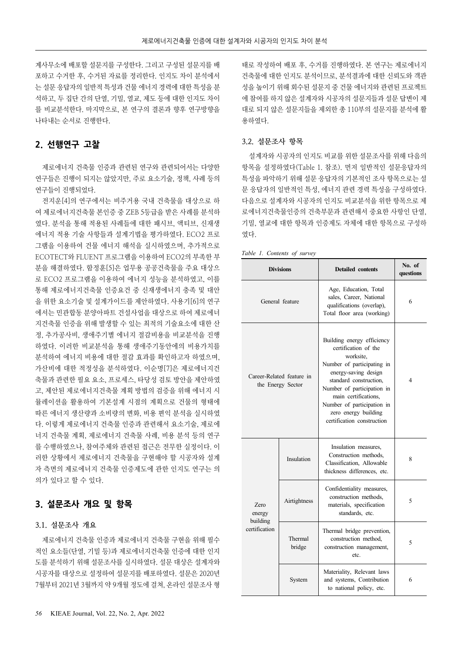계사무소에 배포할 설문지를 구성한다. 그리고 구성된 설문지를 배 포하고 수거한 후, 수거된 자료를 정리한다. 인지도 차이 분석에서 는 설문 응답자의 일반적 특성과 건물 에너지 경력에 대한 특성을 분 석하고, 두 집단 간의 단열, 기밀, 열교, 제도 등에 대한 인지도 차이 를 비교분석한다. 마지막으로, 본 연구의 결론과 향후 연구방향을 나타내는 순서로 진행한다.

# 2. 선행연구 고찰

제로에너지 건축물 인증과 관련된 연구와 관련되어서는 다양한 연구들은 진행이 되지는 않았지만, 주로 요소기술, 정책, 사례 등의 연구들이 진행되었다.

전지운[4]의 연구에서는 비주거용 국내 건축물을 대상으로 하 여 제로에너지건축물 본인증 중 ZEB 5등급을 받은 사례를 분석하 였다. 분석을 통해 적용된 사례들에 대한 패시브, 액티브, 신재생 에너지 적용 기술 사항들과 설계기법을 평가하였다. ECO2 프로 그램을 이용하여 건물 에너지 해석을 실시하였으며, 추가적으로 ECOTECT와 FLUENT 프로그램을 이용하여 ECO2의 부족한 부 분을 해결하였다. 함정훈[5]은 업무용 공공건축물을 주요 대상으 로 ECO2 프로그램을 이용하여 에너지 성능을 분석하였고, 이를 통해 제로에너지건축물 인증요건 중 신재생에너지 충족 및 대안 을 위한 요소기술 및 설계가이드를 제안하였다. 사용기[6]의 연구 에서는 민관합동 분양아파트 건설사업을 대상으로 하여 제로에너 지건축물 인증을 위해 발생할 수 있는 최적의 기술요소에 대한 산 정, 추가공사비, 생애주기별 에너지 절감비용을 비교분석을 진행 하였다. 이러한 비교분석을 통해 생애주기동안에의 비용가치를 분석하여 에너지 비용에 대한 절감 효과를 확인하고자 하였으며, 가산비에 대한 적정성을 분석하였다. 이순명[7]은 제로에너지건 축물과 관련한 필요 요소, 프로세스, 타당성 검토 방안을 제안하였 고, 제안된 제로에너지건축물 계획 방법의 검증을 위해 에너지 시 뮬레이션을 활용하여 기본설계 시점의 계획으로 건물의 형태에 따른 에너지 생산량과 소비량의 변화, 비용 편익 분석을 실시하였 다. 이렇게 제로에너지 건축물 인증과 관련해서 요소기술, 제로에 너지 건축물 계획, 제로에너지 건축물 사례, 비용 분석 등의 연구 를 수행하였으나, 참여주체와 관련된 접근은 전무한 실정이다. 이 러한 상황에서 제로에너지 건축물을 구현해야 할 시공자와 설계 자 측면의 제로에너지 건축물 인증제도에 관한 인지도 연구는 의 의가 있다고 할 수 있다.

## 3. 설문조사 개요 및 항목

### 3.1. 설문조사 개요

제로에너지 건축물 인증과 제로에너지 건축물 구현을 위해 필수 적인 요소들(단열, 기밀 등)과 제로에너지건축물 인증에 대한 인지 도를 분석하기 위해 설문조사를 실시하였다. 설문 대상은 설계자와 시공자를 대상으로 설정하여 설문지를 배포하였다. 설문은 2020년 7월부터 2021년 3월까지 약 9개월 정도에 걸쳐, 온라인 설문조사 형

태로 작성하여 배포 후, 수거를 진행하였다. 본 연구는 제로에너지 건축물에 대한 인지도 분석이므로, 분석결과에 대한 신뢰도와 객관 성을 높이기 위해 회수된 설문지 중 건물 에너지와 관련된 프로젝트 에 참여를 하지 않은 설계자와 시공자의 설문지들과 설문 답변이 제 대로 되지 않은 설문지들을 제외한 총 110부의 설문지를 분석에 활 용하였다.

#### 3.2. 설문조사 항목

설계자와 시공자의 인지도 비교를 위한 설문조사를 위해 다음의 항목을 설정하였다(Table 1. 참조). 먼저 일반적인 설문응답자의 특성을 파악하기 위해 설문 응답자의 기본적인 조사 항목으로는 설 문 응답자의 일반적인 특성, 에너지 관련 경력 특성을 구성하였다. 다음으로 설계자와 시공자의 인지도 비교분석을 위한 항목으로 제 로에너지건축물인증의 건축부문과 관련해서 중요한 사항인 단열, 기밀, 열교에 대한 항목과 인증제도 자체에 대한 항목으로 구성하 였다.

*Table 1. Contents of survey*

|                                   | <b>Divisions</b>                               | <b>Detailed</b> contents                                                                                                                                                                                                                                                                  | No. of<br>questions |
|-----------------------------------|------------------------------------------------|-------------------------------------------------------------------------------------------------------------------------------------------------------------------------------------------------------------------------------------------------------------------------------------------|---------------------|
|                                   | General feature                                | Age, Education, Total<br>sales, Career, National<br>qualifications (overlap),<br>Total floor area (working)                                                                                                                                                                               | 6                   |
|                                   | Career-Related feature in<br>the Energy Sector | Building energy efficiency<br>certification of the<br>worksite,<br>Number of participating in<br>energy-saving design<br>standard construction,<br>Number of participation in<br>main certifications.<br>Number of participation in<br>zero energy building<br>certification construction | 4                   |
|                                   | Insulation                                     | Insulation measures,<br>Construction methods.<br>Classification. Allowable<br>thickness differences, etc.                                                                                                                                                                                 | 8                   |
| <b>Zero</b><br>energy<br>building | Airtightness                                   | Confidentiality measures,<br>construction methods.<br>materials, specification<br>standards, etc.                                                                                                                                                                                         | 5                   |
| certification                     | Thermal<br>bridge                              | Thermal bridge prevention,<br>construction method,<br>construction management,<br>etc.                                                                                                                                                                                                    | 5                   |
|                                   | System                                         | Materiality, Relevant laws<br>and systems, Contribution<br>to national policy, etc.                                                                                                                                                                                                       | 6                   |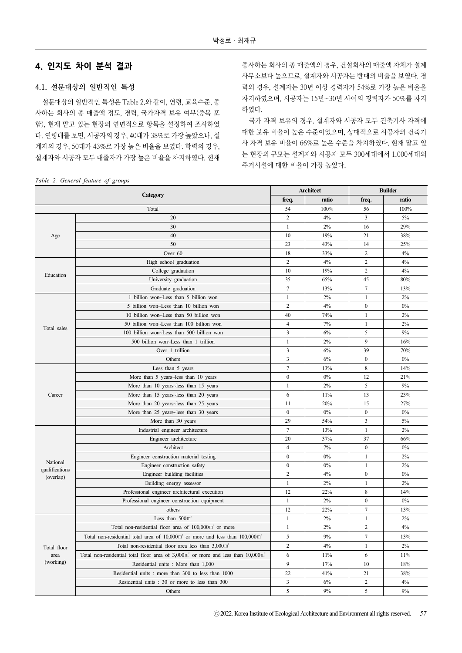# 4. 인지도 차이 분석 결과

#### 4.1. 설문대상의 일반적인 특성

설문대상의 일반적인 특성은 Table 2.와 같이, 연령, 교육수준, 종 사하는 회사의 총 매출액 정도, 경력, 국가자격 보유 여부(중복 포 함), 현재 맡고 있는 현장의 연면적으로 항목을 설정하여 조사하였 다. 연령대를 보면, 시공자의 경우, 40대가 38%로 가장 높았으나, 설 계자의 경우, 50대가 43%로 가장 높은 비율을 보였다. 학력의 경우, 설계자와 시공자 모두 대졸자가 가장 높은 비율을 차지하였다. 현재

|  |  | Table 2. General feature of groups |  |  |  |
|--|--|------------------------------------|--|--|--|
|--|--|------------------------------------|--|--|--|

종사하는 회사의 총 매출액의 경우, 건설회사의 매출액 자체가 설계 사무소보다 높으므로, 설계자와 시공자는 반대의 비율을 보였다. 경 력의 경우, 설계자는 30년 이상 경력자가 54%로 가장 높은 비율을 차지하였으며, 시공자는 15년~30년 사이의 경력자가 50%를 차지 하였다.

국가 자격 보유의 경우, 설계자와 시공자 모두 건축기사 자격에 대한 보유 비율이 높은 수준이었으며, 상대적으로 시공자의 건축기 사 자격 보유 비율이 66%로 높은 수준을 차지하였다. 현재 맡고 있 는 현장의 규모는 설계자와 시공자 모두 300세대에서 1,000세대의 주거시설에 대한 비율이 가장 높았다.

|                             | $\checkmark$<br>$\overline{\phantom{0}}$                                                             |                  | <b>Architect</b> |                         | <b>Builder</b> |
|-----------------------------|------------------------------------------------------------------------------------------------------|------------------|------------------|-------------------------|----------------|
|                             | Category                                                                                             | freq.            | ratio            | freq.                   | ratio          |
|                             | Total                                                                                                | 54               | 100%             | 56                      | 100%           |
|                             | 20                                                                                                   | $\overline{2}$   | 4%               | 3                       | 5%             |
|                             | 30                                                                                                   | 1                | 2%               | 16                      | 29%            |
| Age                         | 40                                                                                                   | 10               | 19%              | 21                      | 38%            |
|                             | 50                                                                                                   | 23               | 43%              | 14                      | 25%            |
|                             | Over 60                                                                                              | 18               | 33%              | $\overline{c}$          | 4%             |
|                             | High school graduation                                                                               | $\overline{2}$   | 4%               | $\overline{c}$          | 4%             |
|                             | College graduation                                                                                   | 10               | 19%              | $\overline{c}$          | 4%             |
| Education                   | University graduation                                                                                | 35               | 65%              | 45                      | 80%            |
|                             | Graduate graduation                                                                                  | $\overline{7}$   | 13%              | $\tau$                  | 13%            |
|                             | 1 billion won~Less than 5 billion won                                                                | $\mathbf{1}$     | 2%               | 1                       | $2\%$          |
|                             | 5 billion won~Less than 10 billion won                                                               | $\overline{2}$   | 4%               | $\boldsymbol{0}$        | $0\%$          |
|                             | 10 billion won~Less than 50 billion won                                                              | 40               | 74%              | 1                       | $2\%$          |
|                             | 50 billion won~Less than 100 billion won                                                             | $\overline{4}$   | 7%               | $\mathbf{1}$            | $2\%$          |
| Total sales                 | 100 billion won~Less than 500 billion won                                                            | $\overline{3}$   | 6%               | 5                       | 9%             |
|                             | 500 billion won~Less than 1 trillion                                                                 | $\mathbf{1}$     | 2%               | 9                       | 16%            |
|                             | Over 1 trillion                                                                                      | $\overline{3}$   | 6%               | 39                      | 70%            |
|                             | Others                                                                                               | 3                | 6%               | $\mathbf{0}$            | $0\%$          |
|                             | Less than 5 years                                                                                    | $\tau$           | 13%              | 8                       | 14%            |
|                             | More than 5 years~less than 10 years                                                                 | $\mathbf{0}$     | 0%               | 12                      | 21%            |
|                             | More than 10 years~less than 15 years                                                                | 1                | 2%               | 5                       | 9%             |
| Career                      | More than 15 years~less than 20 years                                                                | 6                | 11%              | 13                      | 23%            |
|                             | More than 20 years~less than 25 years                                                                | 11               | 20%              | 15                      | 27%            |
|                             | More than 25 years~less than 30 years                                                                | $\boldsymbol{0}$ | 0%               | $\boldsymbol{0}$        | $0\%$          |
|                             | More than 30 years                                                                                   |                  | 54%              | 3                       | 5%             |
|                             | Industrial engineer architecture                                                                     | 7                | 13%              | 1                       | $2\%$          |
|                             | Engineer architecture                                                                                | 20               | 37%              | 37                      | 66%            |
|                             | Architect                                                                                            | 4                | 7%               | $\mathbf{0}$            | $0\%$          |
|                             | Engineer construction material testing                                                               | $\mathbf{0}$     | 0%               | $\mathbf{1}$            | 2%             |
| National                    | Engineer construction safety                                                                         | $\boldsymbol{0}$ | 0%               | 1                       | $2\%$          |
| qualifications<br>(overlap) | Engineer building facilities                                                                         | $\overline{c}$   | 4%               | $\boldsymbol{0}$        | $0\%$          |
|                             | Building energy assessor                                                                             | $\mathbf{1}$     | 2%               | $\mathbf{1}$            | $2\%$          |
|                             | Professional engineer architectural execution                                                        | 12               | 22%              | 8                       | 14%            |
|                             | Professional engineer construction equipment                                                         | $\mathbf{1}$     | 2%               | $\boldsymbol{0}$        | $0\%$          |
|                             | others                                                                                               | 12               | 22%              | $\tau$                  | 13%            |
|                             | Less than $500 \text{ m}^3$                                                                          | $\mathbf{1}$     | 2%               | 1                       | $2\%$          |
|                             | Total non-residential floor area of 100,000m <sup>2</sup> or more                                    | $\mathbf{1}$     | 2%               | $\overline{c}$          | 4%             |
|                             | Total non-residential total area of 10,000m <sup>3</sup> or more and less than 100,000m <sup>3</sup> | 5                | 9%               | 7                       | 13%            |
| Total floor                 | Total non-residential floor area less than 3,000m <sup>*</sup>                                       | $\overline{2}$   | 4%               | 1                       | 2%             |
| area                        | Total non-residential total floor area of $3,000m$ or more and less than $10,000m$                   | 6                | 11%              | 6                       | 11%            |
| (working)                   | Residential units : More than 1,000                                                                  | 9                | 17%              | 10                      | 18%            |
|                             | Residential units: more than 300 to less than 1000                                                   | 22               | 41%              | 21                      | 38%            |
|                             | Residential units : 30 or more to less than 300                                                      | $\mathfrak{Z}$   | 6%               | $\overline{\mathbf{c}}$ | 4%             |
|                             | Others                                                                                               | $\sqrt{5}$       | 9%               | 5                       | 9%             |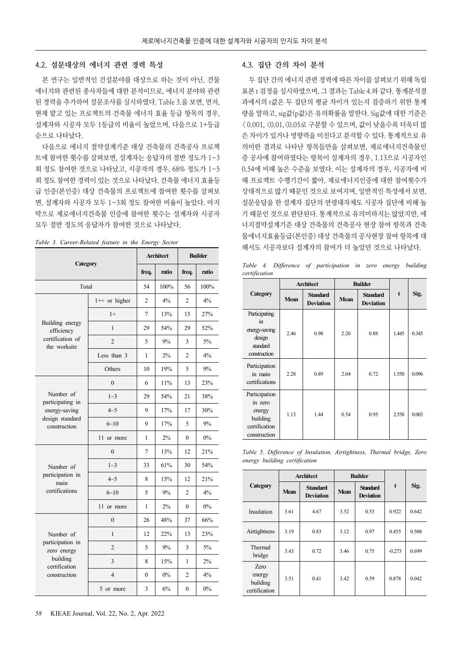#### 4.2. 설문대상의 에너지 관련 경력 특성

본 연구는 일반적인 건설분야를 대상으로 하는 것이 아닌, 건물 에너지와 관련된 종사자들에 대한 분석이므로, 에너지 분야와 관련 된 경력을 추가하여 설문조사를 실시하였다. Table 3.을 보면, 먼저, 현재 맡고 있는 프로젝트의 건축물 에너지 효율 등급 항목의 경우, 설계자와 시공자 모두 1등급의 비율이 높았으며, 다음으로 1+등급 순으로 나타났다.

다음으로 에너지 절약설계기준 대상 건축물의 건축공사 프로젝 트에 참여한 횟수를 살펴보면, 설계자는 응답자의 절반 정도가 1~3 회 정도 참여한 것으로 나타났고, 시공자의 경우, 68% 정도가 1~5 회 정도 참여한 경력이 있는 것으로 나타났다. 건축물 에너지 효율등 급 인증(본인증) 대상 건축물의 프로젝트에 참여한 횟수를 살펴보 면, 설계자와 시공자 모두 1~3회 정도 참여한 비율이 높았다. 마지 막으로 제로에너지건축물 인증에 참여한 횟수는 설계자와 시공자 모두 절반 정도의 응답자가 참여한 것으로 나타났다.

|                                  | Category        |                | <b>Architect</b> | <b>Builder</b> |       |  |
|----------------------------------|-----------------|----------------|------------------|----------------|-------|--|
|                                  |                 | freq.          | ratio            | freq.          | ratio |  |
| Total                            |                 | 54             | 100%             | 56             | 100%  |  |
|                                  | $1++$ or higher | $\overline{2}$ | $4\%$            | $\overline{2}$ | $4\%$ |  |
|                                  | $1+$            | 7              | 13%              | 15             | 27%   |  |
| Building energy<br>efficiency    | $\mathbf{1}$    | 29             | 54%              | 29             | 52%   |  |
| certification of<br>the worksite | $\overline{2}$  | 5              | 9%               | 3              | 5%    |  |
|                                  | Less than 3     | 1              | 2%               | $\overline{c}$ | 4%    |  |
|                                  | Others          | 10             | 19%              | 5              | 9%    |  |
|                                  | $\theta$        | 6              | 11%              | 13             | 23%   |  |
| Number of<br>participating in    | $1\sim3$        | 29             | 54%              | 21             | 38%   |  |
| energy-saving                    | $4 - 5$         | 9              | 17%              | 17             | 30%   |  |
| design standard<br>construction  | $6 - 10$        | 9              | 17%              | 5              | 9%    |  |
|                                  | 11 or more      | 1              | 2%               | $\Omega$       | $0\%$ |  |
|                                  | $\mathbf{0}$    | 7              | 13%              | 12             | 21%   |  |
| Number of                        | $1 - 3$         | 33             | 61%              | 30             | 54%   |  |
| participation in<br>main         | $4 - 5$         | 8              | 15%              | 12             | 21%   |  |
| certifications                   | $6 - 10$        | 5              | 9%               | $\overline{c}$ | 4%    |  |
|                                  | 11 or more      | 1              | 2%               | $\Omega$       | $0\%$ |  |
|                                  | $\mathbf{0}$    | 26             | 48%              | 37             | 66%   |  |
| Number of                        | $\mathbf{1}$    | 12             | 22%              | 13             | 23%   |  |
| participation in<br>zero energy  | $\overline{2}$  | 5              | 9%               | 3              | 5%    |  |
| building<br>certification        | 3               | 8              | 15%              | 1              | 2%    |  |
| construction                     | $\overline{4}$  | $\theta$       | $0\%$            | 2              | 4%    |  |
|                                  | 5 or more       | 3              | 6%               | $\mathbf{0}$   | 0%    |  |

*Table 3. Career-Related feature in the Energy Sector*

#### 4.3. 집단 간의 차이 분석

두 집단 간의 에너지 관련 경력에 따른 차이를 살펴보기 위해 독립 표본 t 검정을 실시하였으며, 그 결과는 Table 4.와 같다. 통계분석결 과에서의 t값은 두 집단의 평균 차이가 있는지 검증하기 위한 통계 량을 말하고, sig값(p값)은 유의확률을 말한다. Sig값에 대한 기준은 < 0.001, <0.01,<0.05로 구분할 수 있으며, 값이 낮을수록 더욱더 많 은 차이가 있거나 영향력을 미친다고 분석할 수 있다. 통계적으로 유 의미한 결과로 나타난 항목들만을 살펴보면, 제로에너지건축물인 증 공사에 참여하였다는 항목이 설계자의 경우, 1.13으로 시공자인 0.54에 비해 높은 수준을 보였다. 이는 설계자의 경우, 시공자에 비 해 프로젝트 수행기간이 짧아, 제로에너지인증에 대한 참여횟수가 상대적으로 많기 때문인 것으로 보여지며, 일반적인 특성에서 보면, 설문응답을 한 설계자 집단의 연령대자체도 시공자 집단에 비해 높 기 때문인 것으로 판단된다. 통계적으로 유의미하지는 않았지만, 에 너지절약설계기준 대상 건축물의 건축공사 현장 참여 항목과 건축 물에너지효율등급(본인증) 대상 건축물의 공사현장 참여 항목에 대 해서도 시공자보다 설계자의 참여가 더 높았던 것으로 나타났다.

*Table 4. Difference of participation in zero energy building certification*

|                                                                                 | <b>Architect</b> |                                     |             | <b>Builder</b>                      |             |       |
|---------------------------------------------------------------------------------|------------------|-------------------------------------|-------------|-------------------------------------|-------------|-------|
| <b>Category</b>                                                                 | <b>Mean</b>      | <b>Standard</b><br><b>Deviation</b> | <b>Mean</b> | <b>Standard</b><br><b>Deviation</b> | $\mathbf t$ | Sig.  |
| Participating<br>in<br>energy-saving<br>design<br>standard<br>construction      | 2.46             | 0.98                                | 2.20        | 0.88                                | 1.445       | 0.345 |
| Participation<br>in main<br>certifications                                      | 2.28             | 0.89                                | 2.04        | 0.72                                | 1.550       | 0.096 |
| Participation<br>in zero<br>energy<br>building<br>certification<br>construction | 1.13             | 1.44                                | 0.54        | 0.95                                | 2.558       | 0.003 |

*Table 5. Difference of Insulation, Airtightness, Thermal bridge, Zero energy building certification*

|                                                    | <b>Architect</b> |                                     | <b>Builder</b> |                                     |          |       |
|----------------------------------------------------|------------------|-------------------------------------|----------------|-------------------------------------|----------|-------|
| Category                                           | <b>Mean</b>      | <b>Standard</b><br><b>Deviation</b> | <b>Mean</b>    | <b>Standard</b><br><b>Deviation</b> | t        | Sig.  |
| Insulation                                         | 3.61             | 4.67                                | 3.52           | 0.53                                | 0.922    | 0.642 |
| Airtightness                                       | 3.19             | 0.83                                | 3.12           | 0.97                                | 0.455    | 0.508 |
| Thermal<br>bridge                                  | 3.43             | 0.72                                | 3.46           | 0.75                                | $-0.273$ | 0.699 |
| <b>Zero</b><br>energy<br>building<br>certification | 3.51             | 0.41                                | 3.42           | 0.59                                | 0.878    | 0.042 |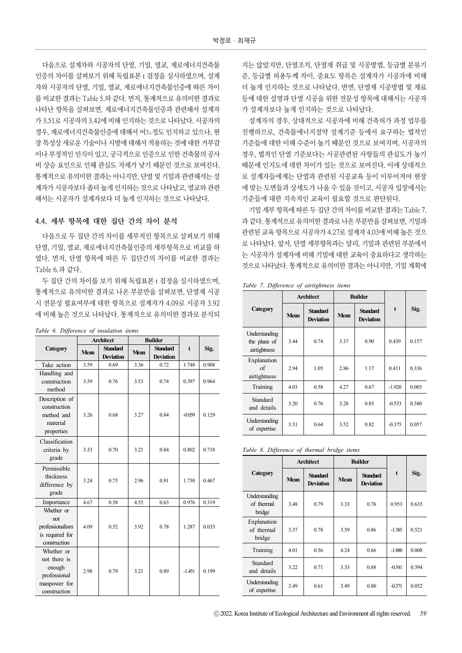다음으로 설계자와 시공자의 단열, 기밀, 열교, 제로에너지건축물 인증의 차이를 살펴보기 위해 독립표본 t 검정을 실시하였으며, 설계 자와 시공자의 단열, 기밀, 열교, 제로에너지건축물인증에 따른 차이 를 비교한 결과는 Table 5.와 같다. 먼저, 통계적으로 유의미한 결과로 나타난 항목을 살펴보면, 제로에너지건축물인증과 관련해서 설계자 가 3.51로 시공자의 3.42에 비해 인지하는 것으로 나타났다. 시공자의 경우, 제로에너지건축물인증에 대해서 어느정도 인지하고 있으나, 현 장 특성상 새로운 기술이나 시방에 대해서 적용하는 것에 대한 거부감 이나 부정적인 인식이 있고, 궁극적으로 인증으로 인한 건축물의 공사 비 상승 요인으로 인해 관심도 자체가 낮기 때문인 것으로 보여진다. 통계적으로 유의미한 결과는 아니지만, 단열 및 기밀과 관련해서는 설 계자가 시공자보다 좀더 높게 인지하는 것으로 나타났고, 열교와 관련 해서는 시공자가 설계자보다 더 높게 인지하는 것으로 나타났다.

#### 4.4. 세부 항목에 대한 집단 간의 차이 분석

다음으로 두 집단 간의 차이를 세부적인 항목으로 살펴보기 위해 단열, 기밀, 열교, 제로에너지건축물인증의 세부항목으로 비교를 하 였다. 먼저, 단열 항목에 따른 두 집단간의 차이를 비교한 결과는 Table 6.과 같다.

두 집단 간의 차이를 보기 위해 독립표본 t 검정을 실시하였으며, 통계적으로 유의미한 결과로 나온 부분만을 살펴보면, 단열재 시공 시 전문성 필요여부에 대한 항목으로 설계자가 4.09로 시공자 3.92 에 비해 높은 것으로 나타났다. 통계적으로 유의미한 결과로 분석되

|                                                                                      | <b>Architect</b> |                                     | <b>Builder</b> |                                     |          |       |  |  |
|--------------------------------------------------------------------------------------|------------------|-------------------------------------|----------------|-------------------------------------|----------|-------|--|--|
| <b>Category</b>                                                                      | <b>Mean</b>      | <b>Standard</b><br><b>Deviation</b> | <b>Mean</b>    | <b>Standard</b><br><b>Deviation</b> | t        | Sig.  |  |  |
| Take action                                                                          | 3.59             | 0.69                                | 3.36           | 0.72                                | 1.748    | 0.908 |  |  |
| Handling and<br>construction<br>method                                               | 3.59             | 0.76                                | 3.53           | 0.74                                | 0.397    | 0.964 |  |  |
| Description of<br>construction<br>method and<br>material<br>properties               | 3.26             | 0.68                                | 3.27           | 0.84                                | $-0.059$ | 0.129 |  |  |
| Classification<br>criteria by<br>grade                                               | 3.33             | 0.70                                | 3.21           | 0.84                                | 0.802    | 0.718 |  |  |
| Permissible<br>thickness<br>difference by<br>grade                                   | 3.24             | 0.75                                | 2.96           | 0.91                                | 1.730    | 0.467 |  |  |
| Importance                                                                           | 4.67             | 0.58                                | 4.55           | 0.63                                | 0.976    | 0.319 |  |  |
| Whether or<br>not<br>professionalism<br>is required for<br>construction              | 4.09             | 0.52                                | 3.92           | 0.78                                | 1.287    | 0.033 |  |  |
| Whether or<br>not there is<br>enough<br>professional<br>manpower for<br>construction | 2.98             | 0.79                                | 3.21           | 0.89                                | -1451    | 0.199 |  |  |

#### *Table 6. Difference of insulation items*

지는 않았지만, 단열조치, 단열재 취급 및 시공방법, 등급별 분류기 준, 등급별 허용두께 차이, 중요도 항목은 설계자가 시공자에 비해 더 높게 인지하는 것으로 나타났다. 반면, 단열재 시공방법 및 재료 등에 대한 설명과 단열 시공을 위한 전문성 항목에 대해서는 시공자 가 설계자보다 높게 인지하는 것으로 나타났다.

설계자의 경우, 상대적으로 시공자에 비해 건축허가 과정 업무를 진행하므로, 건축물에너지절약 설계기준 등에서 요구하는 법적인 기준들에 대한 이해 수준이 높기 때문인 것으로 보여지며, 시공자의 경우, 법적인 단열 기준보다는 시공관련된 사항들의 관심도가 높기 때문에 인지도에 대한 차이가 있는 것으로 보여진다. 이에 상대적으 로 설계자들에게는 단열과 관련된 시공교육 등이 이루어져야 현장 에 맞는 도면들과 상세도가 나올 수 있을 것이고, 시공자 입장에서는 기준들에 대한 지속적인 교육이 필요할 것으로 판단된다.

기밀 세부 항목에 따른 두 집단 간의 차이를 비교한 결과는 Table 7. 과 같다. 통계적으로 유의미한 결과로 나온 부분만을 살펴보면, 기밀과 관련된 교육 항목으로 시공자가 4.27로 설계자 4.03에 비해 높은 것으 로 나타났다. 앞서, 단열 세부항목과는 달리, 기밀과 관련된 부분에서 는 시공자가 설계자에 비해 기밀에 대한 교육이 중요하다고 생각하는 것으로 나타났다. 통계적으로 유의미한 결과는 아니지만, 기밀 계획에

|  |  | Table 7. Difference of airtightness items |  |
|--|--|-------------------------------------------|--|
|  |  |                                           |  |

|                                               | <b>Architect</b> |                                     |             | <b>Builder</b>                      |          |       |
|-----------------------------------------------|------------------|-------------------------------------|-------------|-------------------------------------|----------|-------|
| Category                                      | <b>Mean</b>      | <b>Standard</b><br><b>Deviation</b> | <b>Mean</b> | <b>Standard</b><br><b>Deviation</b> | t        | Sig.  |
| Understanding<br>the plans of<br>airtightness | 3.44             | 0.74                                | 3.37        | 0.90                                | 0.439    | 0.157 |
| Explanation<br>of<br>airtightness             | 2.94             | 1.05                                | 2.86        | 1.17                                | 0.411    | 0.336 |
| Training                                      | 4.03             | 0.58                                | 4.27        | 0.67                                | $-1.920$ | 0.005 |
| Standard<br>and details                       | 3.20             | 0.76                                | 3.28        | 0.85                                | $-0.533$ | 0.380 |
| Understanding<br>of expertise                 | 3.51             | 0.64                                | 3.52        | 0.82                                | $-0.375$ | 0.057 |

*Table 8. Difference of thermal bridge items*

|                                       | <b>Architect</b> |                                     |             | <b>Builder</b>                      |             |       |
|---------------------------------------|------------------|-------------------------------------|-------------|-------------------------------------|-------------|-------|
| Category                              | <b>Mean</b>      | <b>Standard</b><br><b>Deviation</b> | <b>Mean</b> | <b>Standard</b><br><b>Deviation</b> | $\mathbf t$ | Sig.  |
| Understanding<br>of thermal<br>bridge | 3.48             | 0.79                                | 3.33        | 0.76                                | 0.953       | 0.635 |
| Explanation<br>of thermal<br>bridge   | 3.37             | 0.78                                | 3.59        | 0.86                                | $-1.385$    | 0.521 |
| Training                              | 4.01             | 0.56                                | 4.24        | 0.66                                | $-1.880$    | 0.008 |
| Standard<br>and details               | 3.22             | 0.71                                | 3.33        | 0.88                                | $-0.541$    | 0.394 |
| Understanding<br>of expertise         | 3.49             | 0.61                                | 3.49        | 0.80                                | $-0.371$    | 0.052 |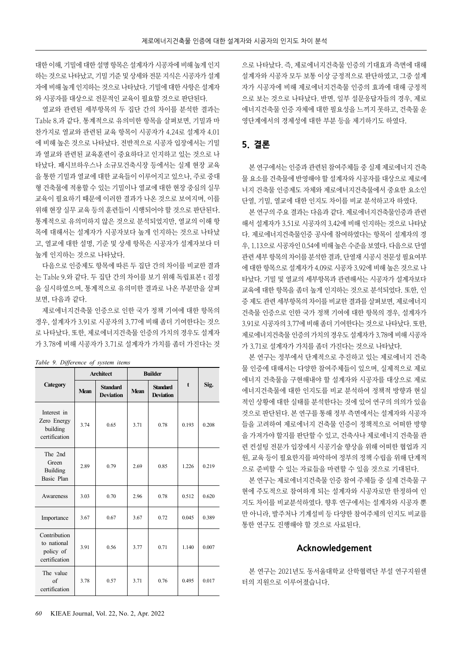대한 이해, 기밀에 대한 설명 항목은 설계자가 시공자에 비해 높게 인지 하는 것으로 나타났고, 기밀 기준 및 상세와 전문 지식은 시공자가 설계 자에 비해 높게 인지하는 것으로 나타났다. 기밀에 대한 사항은 설계자 와 시공자를 대상으로 전문적인 교육이 필요할 것으로 판단된다.

열교와 관련된 세부항목의 두 집단 간의 차이를 분석한 결과는 Table 8.과 같다. 통계적으로 유의미한 항목을 살펴보면, 기밀과 마 찬가지로 열교와 관련된 교육 항목이 시공자가 4.24로 설계자 4.01 에 비해 높은 것으로 나타났다. 전반적으로 시공자 입장에서는 기밀 과 열교와 관련된 교육훈련이 중요하다고 인지하고 있는 것으로 나 타났다. 패시브하우스나 소규모건축시장 등에서는 실제 현장 교육 을 통한 기밀과 열교에 대한 교육들이 이루어지고 있으나, 주로 중대 형 건축물에 적용할 수 있는 기밀이나 열교에 대한 현장 중심의 실무 교육이 필요하기 때문에 이러한 결과가 나온 것으로 보여지며, 이를 위해 현장 실무 교육 등의 훈련들이 시행되어야 할 것으로 판단된다. 통계적으로 유의미하지 않은 것으로 분석되었지만, 열교의 이해 항 목에 대해서는 설계자가 시공자보다 높게 인지하는 것으로 나타났 고, 열교에 대한 설명, 기준 및 상세 항목은 시공자가 설계자보다 더 높게 인지하는 것으로 나타났다.

다음으로 인증제도 항목에 따른 두 집단 간의 차이를 비교한 결과 는 Table 9.와 같다. 두 집단 간의 차이를 보기 위해 독립표본 t 검정 을 실시하였으며, 통계적으로 유의미한 결과로 나온 부분만을 살펴 보면, 다음과 같다.

제로에너지건축물 인증으로 인한 국가 정책 기여에 대한 항목의 경우, 설계자가 3.91로 시공자의 3.77에 비해 좀더 기여한다는 것으 로 나타났다. 또한, 제로에너지건축물 인증의 가치의 경우도 설계자 가 3.78에 비해 시공자가 3.71로 설계자가 가치를 좀더 가진다는 것

|                                                           |             | <b>Architect</b>                    |             | <b>Builder</b>                      |             |       |
|-----------------------------------------------------------|-------------|-------------------------------------|-------------|-------------------------------------|-------------|-------|
| Category                                                  | <b>Mean</b> | <b>Standard</b><br><b>Deviation</b> | <b>Mean</b> | <b>Standard</b><br><b>Deviation</b> | $\mathbf t$ | Sig.  |
| Interest in<br>Zero Energy<br>building<br>certification   | 3.74        | 0.65                                | 3.71        | 0.78                                | 0.193       | 0.208 |
| The 2nd<br>Green<br>Building<br>Basic Plan                | 2.89        | 0.79                                | 2.69        | 0.85                                | 1.226       | 0.219 |
| Awareness                                                 | 3.03        | 0.70                                | 2.96        | 0.78                                | 0.512       | 0.620 |
| Importance                                                | 3.67        | 0.67                                | 3.67        | 0.72                                | 0.045       | 0.389 |
| Contribution<br>to national<br>policy of<br>certification | 3.91        | 0.56                                | 3.77        | 0.71                                | 1.140       | 0.007 |
| The value<br>$\sigma$ f<br>certification                  | 3.78        | 0.57                                | 3.71        | 0.76                                | 0.495       | 0.017 |

*Table 9. Difference of system items*

으로 나타났다. 즉, 제로에너지건축물 인증의 기대효과 측면에 대해 설계자와 시공자 모두 보통 이상 긍정적으로 판단하였고, 그중 설계 자가 시공자에 비해 제로에너지건축물 인증의 효과에 대해 긍정적 으로 보는 것으로 나타났다. 반면, 일부 설문응답자들의 경우, 제로 에너지건축물 인증 자체에 대한 필요성을 느끼지 못하고, 건축물 운 영단계에서의 경제성에 대한 부분 등을 제기하기도 하였다.

# 5. 결론

본 연구에서는 인증과 관련된 참여주체들 중 실제 제로에너지 건축 물 요소를 건축물에 반영해야 할 설계자와 시공자를 대상으로 제로에 너지 건축물 인증제도 자체와 제로에너지건축물에서 중요한 요소인 단열, 기밀, 열교에 대한 인지도 차이를 비교 분석하고자 하였다.

본 연구의 주요 결과는 다음과 같다. 제로에너지건축물인증과 관련 해서 설계자가 3.51로 시공자의 3.42에 비해 인지하는 것으로 나타났 다. 제로에너지건축물인증 공사에 참여하였다는 항목이 설계자의 경 우, 1.13으로 시공자인 0.54에 비해 높은 수준을 보였다. 다음으로 단열 관련 세부 항목의 차이를 분석한 결과, 단열재 시공시 전문성 필요여부 에 대한 항목으로 설계자가 4.09로 시공자 3.92에 비해 높은 것으로 나 타났다. 기밀 및 열교의 세부항목과 관련해서는 시공자가 설계자보다 교육에 대한 항목을 좀더 높게 인지하는 것으로 분석되었다. 또한, 인 증 제도 관련 세부항목의 차이를 비교한 결과를 살펴보면, 제로에너지 건축물 인증으로 인한 국가 정책 기여에 대한 항목의 경우, 설계자가 3.91로 시공자의 3.77에 비해 좀더 기여한다는 것으로 나타났다. 또한, 제로에너지건축물 인증의 가치의 경우도 설계자가 3.78에 비해 시공자 가 3.71로 설계자가 가치를 좀더 가진다는 것으로 나타났다.

본 연구는 정부에서 단계적으로 추진하고 있는 제로에너지 건축 물 인증에 대해서는 다양한 참여주체들이 있으며, 실제적으로 제로 에너지 건축물을 구현해내야 할 설계자와 시공자를 대상으로 제로 에너지건축물에 대한 인지도를 비교 분석하여 정책적 방향과 현실 적인 상황에 대한 실태를 분석한다는 것에 있어 연구의 의의가 있을 것으로 판단된다. 본 연구를 통해 정부 측면에서는 설계자와 시공자 들을 고려하여 제로에너지 건축물 인증이 정책적으로 어떠한 방향 을 가져가야 할지를 판단할 수 있고, 건축사나 제로에너지 건축물 관 련 컨설팅 전문가 입장에서 시공기술 향상을 위해 어떠한 협업과 지 원, 교육 등이 필요한지를 파악하여 정부의 정책 수립을 위해 단계적 으로 준비할 수 있는 자료들을 마련할 수 있을 것으로 기대된다.

본 연구는 제로에너지건축물 인증 참여 주체들 중 실제 건축물 구 현에 주도적으로 참여하게 되는 설계자와 시공자로만 한정하여 인 지도 차이를 비교분석하였다. 향후 연구에서는 설계자와 시공자 뿐 만 아니라, 발주처나 기계설비 등 다양한 참여주체의 인지도 비교를 통한 연구도 진행해야 할 것으로 사료된다.

#### Acknowledgement

본 연구는 2021년도 동서울대학교 산학협력단 부설 연구지원센 터의 지원으로 이루어졌습니다.